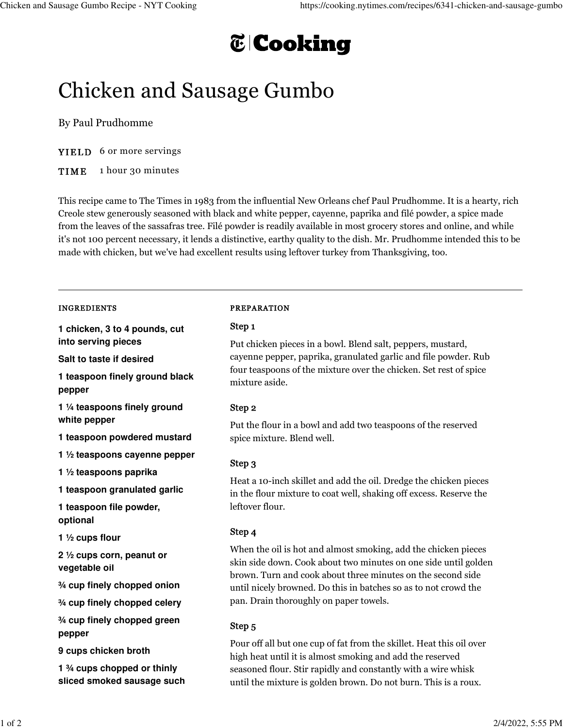# **T** Cooking

## Chicken and Sausage Gumbo

By Paul Prudhomme

YIELD 6 or more servings

TIME 1 hour 30 minutes

This recipe came to The Times in 1983 from the influential New Orleans chef Paul Prudhomme. It is a hearty, rich Creole stew generously seasoned with black and white pepper, cayenne, paprika and filé powder, a spice made from the leaves of the sassafras tree. Filé powder is readily available in most grocery stores and online, and while it's not 100 percent necessary, it lends a distinctive, earthy quality to the dish. Mr. Prudhomme intended this to be made with chicken, but we've had excellent results using leftover turkey from Thanksgiving, too.

#### INGREDIENTS

**1 chicken, 3 to 4 pounds, cut into serving pieces**

**Salt to taste if desired**

**1 teaspoon finely ground black pepper**

**1 ¼ teaspoons finely ground white pepper**

**1 teaspoon powdered mustard**

**1 ½ teaspoons cayenne pepper**

**1 ½ teaspoons paprika**

**1 teaspoon granulated garlic**

**1 teaspoon file powder, optional**

**1 ½ cups flour**

**2 ½ cups corn, peanut or vegetable oil**

**¾ cup finely chopped onion**

**¾ cup finely chopped celery**

**¾ cup finely chopped green pepper**

**9 cups chicken broth**

**1 ¾ cups chopped or thinly sliced smoked sausage such**

#### PREPARATION

#### Step 1

Put chicken pieces in a bowl. Blend salt, peppers, mustard, cayenne pepper, paprika, granulated garlic and file powder. Rub four teaspoons of the mixture over the chicken. Set rest of spice mixture aside.

## Step 2

Put the flour in a bowl and add two teaspoons of the reserved spice mixture. Blend well.

## Step 3

Heat a 10-inch skillet and add the oil. Dredge the chicken pieces in the flour mixture to coat well, shaking off excess. Reserve the leftover flour.

## Step 4

When the oil is hot and almost smoking, add the chicken pieces skin side down. Cook about two minutes on one side until golden brown. Turn and cook about three minutes on the second side until nicely browned. Do this in batches so as to not crowd the pan. Drain thoroughly on paper towels.

## Step 5

Pour off all but one cup of fat from the skillet. Heat this oil over high heat until it is almost smoking and add the reserved seasoned flour. Stir rapidly and constantly with a wire whisk until the mixture is golden brown. Do not burn. This is a roux.